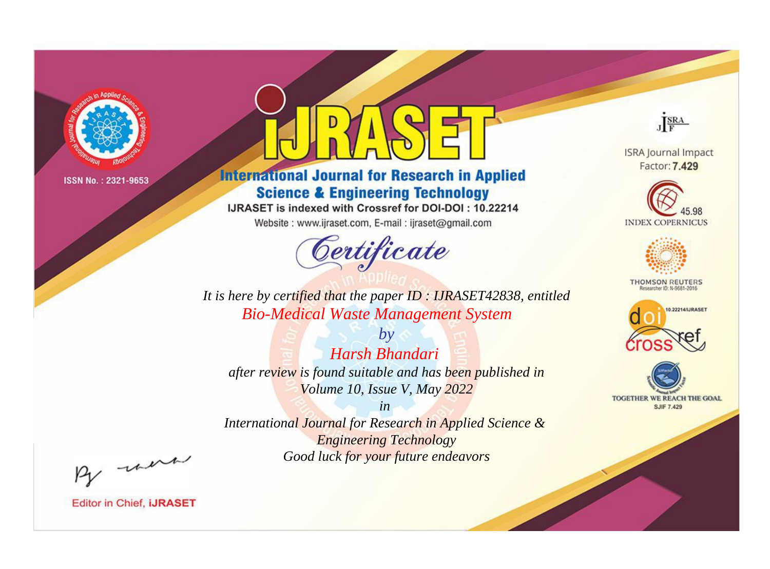

# **International Journal for Research in Applied Science & Engineering Technology**

IJRASET is indexed with Crossref for DOI-DOI: 10.22214

Website: www.ijraset.com, E-mail: ijraset@gmail.com



JERA

**ISRA Journal Impact** Factor: 7.429





**THOMSON REUTERS** 



TOGETHER WE REACH THE GOAL **SJIF 7.429** 

*It is here by certified that the paper ID : IJRASET42838, entitled Bio-Medical Waste Management System*

*by Harsh Bhandari after review is found suitable and has been published in Volume 10, Issue V, May 2022*

*in* 

*International Journal for Research in Applied Science & Engineering Technology Good luck for your future endeavors*

By morn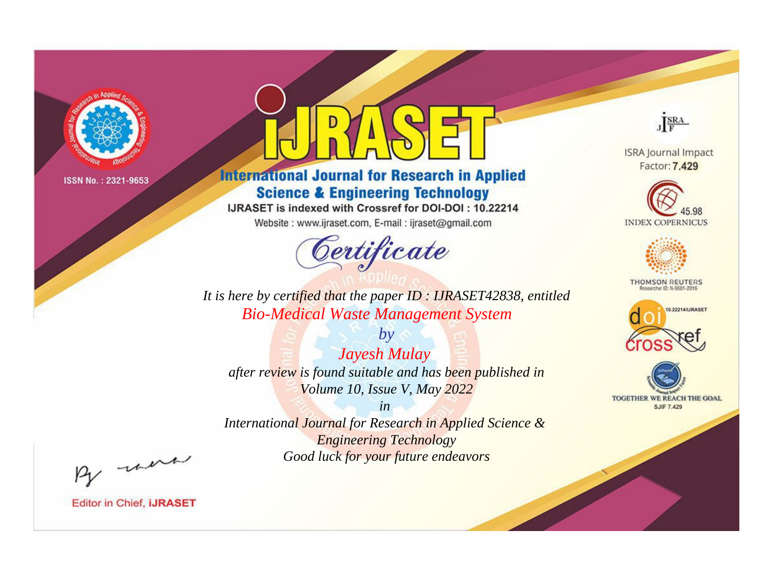![](_page_1_Picture_0.jpeg)

# **International Journal for Research in Applied Science & Engineering Technology**

IJRASET is indexed with Crossref for DOI-DOI: 10.22214

Website: www.ijraset.com, E-mail: ijraset@gmail.com

![](_page_1_Picture_6.jpeg)

JERA

**ISRA Journal Impact** Factor: 7.429

![](_page_1_Picture_9.jpeg)

![](_page_1_Picture_10.jpeg)

**THOMSON REUTERS** 

![](_page_1_Picture_12.jpeg)

TOGETHER WE REACH THE GOAL **SJIF 7.429** 

*It is here by certified that the paper ID : IJRASET42838, entitled Bio-Medical Waste Management System*

*by Jayesh Mulay after review is found suitable and has been published in Volume 10, Issue V, May 2022*

*in* 

*International Journal for Research in Applied Science & Engineering Technology Good luck for your future endeavors*

By morn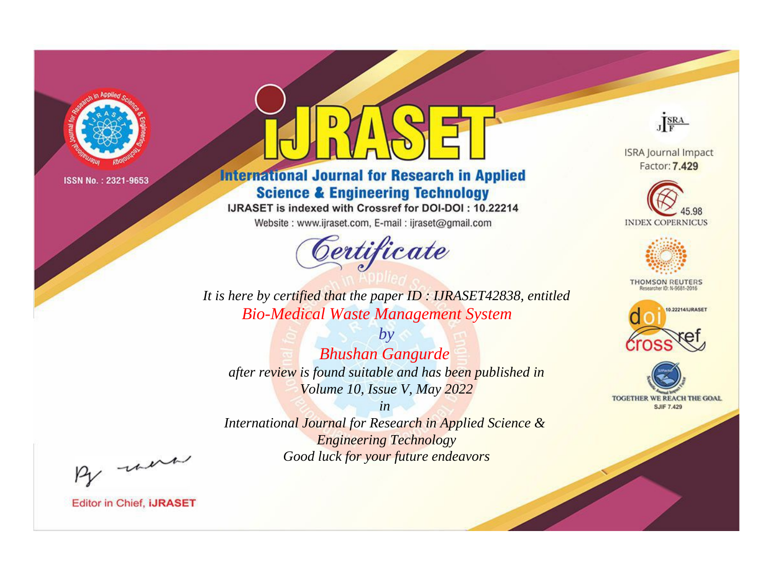![](_page_2_Picture_0.jpeg)

# **International Journal for Research in Applied Science & Engineering Technology**

IJRASET is indexed with Crossref for DOI-DOI: 10.22214

Website: www.ijraset.com, E-mail: ijraset@gmail.com

![](_page_2_Picture_6.jpeg)

JERA

**ISRA Journal Impact** Factor: 7.429

![](_page_2_Picture_9.jpeg)

![](_page_2_Picture_10.jpeg)

**THOMSON REUTERS** 

![](_page_2_Picture_12.jpeg)

TOGETHER WE REACH THE GOAL **SJIF 7.429** 

*It is here by certified that the paper ID : IJRASET42838, entitled Bio-Medical Waste Management System*

*Bhushan Gangurde after review is found suitable and has been published in Volume 10, Issue V, May 2022*

*by*

*in* 

*International Journal for Research in Applied Science & Engineering Technology Good luck for your future endeavors*

By morn